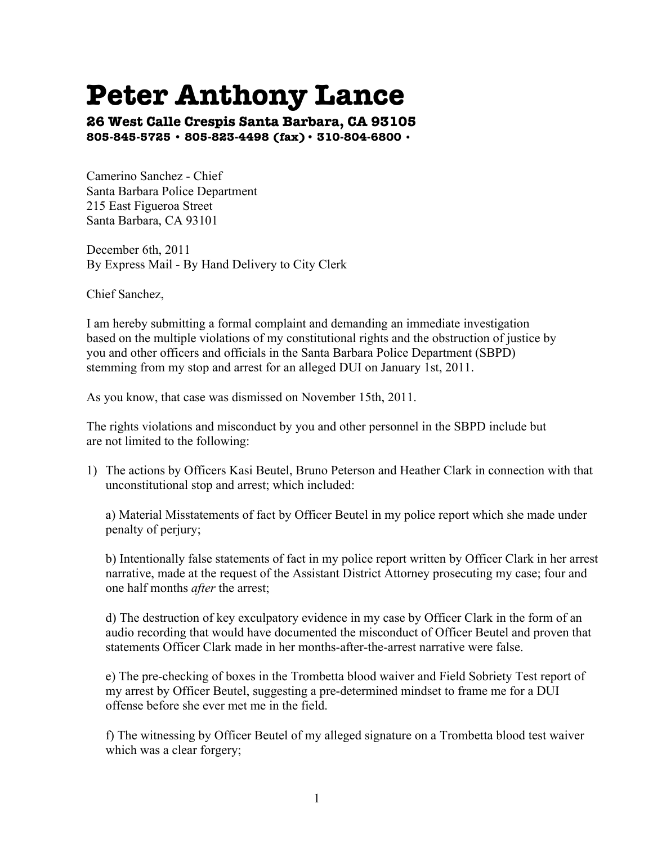## **Peter Anthony Lance**

**26 West Calle Crespis Santa Barbara, CA 93105 805-845-5725 • 805-823-4498 (fax)• 310-804-6800 •**

Camerino Sanchez - Chief Santa Barbara Police Department 215 East Figueroa Street Santa Barbara, CA 93101

December 6th, 2011 By Express Mail - By Hand Delivery to City Clerk

Chief Sanchez,

I am hereby submitting a formal complaint and demanding an immediate investigation based on the multiple violations of my constitutional rights and the obstruction of justice by you and other officers and officials in the Santa Barbara Police Department (SBPD) stemming from my stop and arrest for an alleged DUI on January 1st, 2011.

As you know, that case was dismissed on November 15th, 2011.

The rights violations and misconduct by you and other personnel in the SBPD include but are not limited to the following:

1) The actions by Officers Kasi Beutel, Bruno Peterson and Heather Clark in connection with that unconstitutional stop and arrest; which included:

a) Material Misstatements of fact by Officer Beutel in my police report which she made under penalty of perjury;

b) Intentionally false statements of fact in my police report written by Officer Clark in her arrest narrative, made at the request of the Assistant District Attorney prosecuting my case; four and one half months *after* the arrest;

d) The destruction of key exculpatory evidence in my case by Officer Clark in the form of an audio recording that would have documented the misconduct of Officer Beutel and proven that statements Officer Clark made in her months-after-the-arrest narrative were false.

e) The pre-checking of boxes in the Trombetta blood waiver and Field Sobriety Test report of my arrest by Officer Beutel, suggesting a pre-determined mindset to frame me for a DUI offense before she ever met me in the field.

f) The witnessing by Officer Beutel of my alleged signature on a Trombetta blood test waiver which was a clear forgery;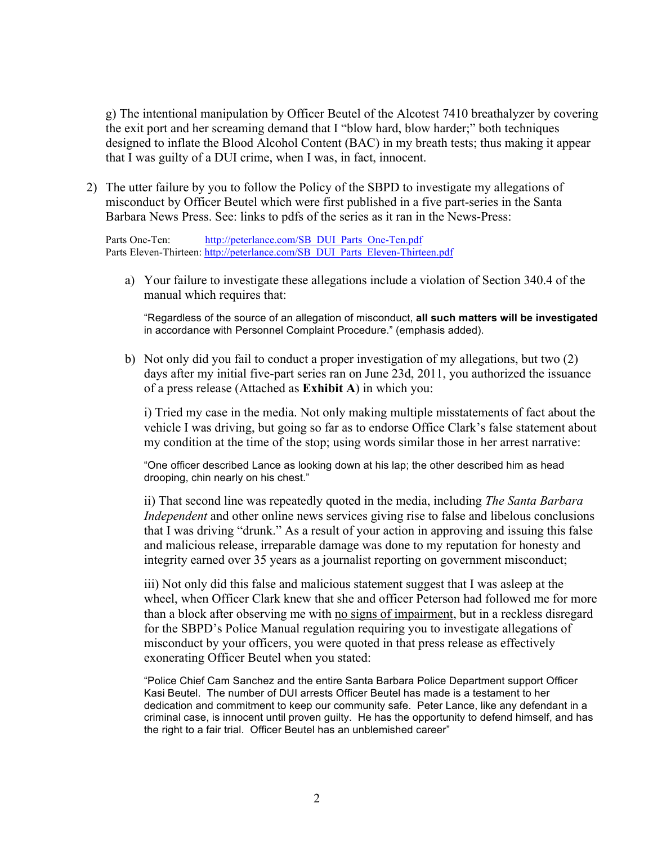g) The intentional manipulation by Officer Beutel of the Alcotest 7410 breathalyzer by covering the exit port and her screaming demand that I "blow hard, blow harder;" both techniques designed to inflate the Blood Alcohol Content (BAC) in my breath tests; thus making it appear that I was guilty of a DUI crime, when I was, in fact, innocent.

2) The utter failure by you to follow the Policy of the SBPD to investigate my allegations of misconduct by Officer Beutel which were first published in a five part-series in the Santa Barbara News Press. See: links to pdfs of the series as it ran in the News-Press:

Parts One-Ten: http://peterlance.com/SB\_DUI\_Parts\_One-Ten.pdf Parts Eleven-Thirteen: http://peterlance.com/SB\_DUI\_Parts\_Eleven-Thirteen.pdf

a) Your failure to investigate these allegations include a violation of Section 340.4 of the manual which requires that:

"Regardless of the source of an allegation of misconduct, **all such matters will be investigated** in accordance with Personnel Complaint Procedure." (emphasis added).

b) Not only did you fail to conduct a proper investigation of my allegations, but two (2) days after my initial five-part series ran on June 23d, 2011, you authorized the issuance of a press release (Attached as **Exhibit A**) in which you:

i) Tried my case in the media. Not only making multiple misstatements of fact about the vehicle I was driving, but going so far as to endorse Office Clark's false statement about my condition at the time of the stop; using words similar those in her arrest narrative:

"One officer described Lance as looking down at his lap; the other described him as head drooping, chin nearly on his chest."

ii) That second line was repeatedly quoted in the media, including *The Santa Barbara Independent* and other online news services giving rise to false and libelous conclusions that I was driving "drunk." As a result of your action in approving and issuing this false and malicious release, irreparable damage was done to my reputation for honesty and integrity earned over 35 years as a journalist reporting on government misconduct;

iii) Not only did this false and malicious statement suggest that I was asleep at the wheel, when Officer Clark knew that she and officer Peterson had followed me for more than a block after observing me with no signs of impairment, but in a reckless disregard for the SBPD's Police Manual regulation requiring you to investigate allegations of misconduct by your officers, you were quoted in that press release as effectively exonerating Officer Beutel when you stated:

"Police Chief Cam Sanchez and the entire Santa Barbara Police Department support Officer Kasi Beutel. The number of DUI arrests Officer Beutel has made is a testament to her dedication and commitment to keep our community safe. Peter Lance, like any defendant in a criminal case, is innocent until proven guilty. He has the opportunity to defend himself, and has the right to a fair trial. Officer Beutel has an unblemished career"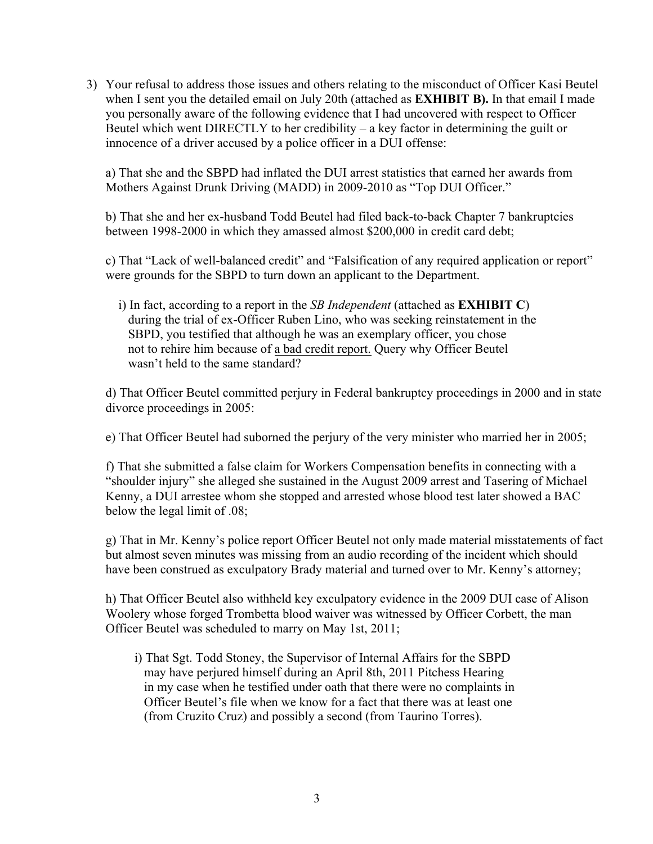3) Your refusal to address those issues and others relating to the misconduct of Officer Kasi Beutel when I sent you the detailed email on July 20th (attached as **EXHIBIT B).** In that email I made you personally aware of the following evidence that I had uncovered with respect to Officer Beutel which went DIRECTLY to her credibility – a key factor in determining the guilt or innocence of a driver accused by a police officer in a DUI offense:

a) That she and the SBPD had inflated the DUI arrest statistics that earned her awards from Mothers Against Drunk Driving (MADD) in 2009-2010 as "Top DUI Officer."

b) That she and her ex-husband Todd Beutel had filed back-to-back Chapter 7 bankruptcies between 1998-2000 in which they amassed almost \$200,000 in credit card debt;

c) That "Lack of well-balanced credit" and "Falsification of any required application or report" were grounds for the SBPD to turn down an applicant to the Department.

 i) In fact, according to a report in the *SB Independent* (attached as **EXHIBIT C**) during the trial of ex-Officer Ruben Lino, who was seeking reinstatement in the SBPD, you testified that although he was an exemplary officer, you chose not to rehire him because of a bad credit report. Query why Officer Beutel wasn't held to the same standard?

d) That Officer Beutel committed perjury in Federal bankruptcy proceedings in 2000 and in state divorce proceedings in 2005:

e) That Officer Beutel had suborned the perjury of the very minister who married her in 2005;

f) That she submitted a false claim for Workers Compensation benefits in connecting with a "shoulder injury" she alleged she sustained in the August 2009 arrest and Tasering of Michael Kenny, a DUI arrestee whom she stopped and arrested whose blood test later showed a BAC below the legal limit of .08;

g) That in Mr. Kenny's police report Officer Beutel not only made material misstatements of fact but almost seven minutes was missing from an audio recording of the incident which should have been construed as exculpatory Brady material and turned over to Mr. Kenny's attorney;

h) That Officer Beutel also withheld key exculpatory evidence in the 2009 DUI case of Alison Woolery whose forged Trombetta blood waiver was witnessed by Officer Corbett, the man Officer Beutel was scheduled to marry on May 1st, 2011;

 i) That Sgt. Todd Stoney, the Supervisor of Internal Affairs for the SBPD may have perjured himself during an April 8th, 2011 Pitchess Hearing in my case when he testified under oath that there were no complaints in Officer Beutel's file when we know for a fact that there was at least one (from Cruzito Cruz) and possibly a second (from Taurino Torres).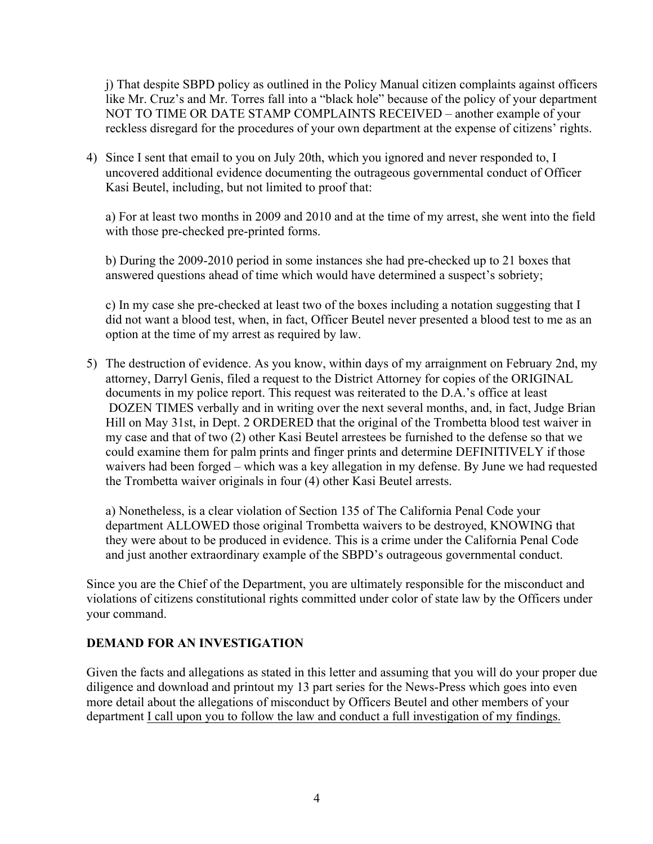j) That despite SBPD policy as outlined in the Policy Manual citizen complaints against officers like Mr. Cruz's and Mr. Torres fall into a "black hole" because of the policy of your department NOT TO TIME OR DATE STAMP COMPLAINTS RECEIVED – another example of your reckless disregard for the procedures of your own department at the expense of citizens' rights.

4) Since I sent that email to you on July 20th, which you ignored and never responded to, I uncovered additional evidence documenting the outrageous governmental conduct of Officer Kasi Beutel, including, but not limited to proof that:

a) For at least two months in 2009 and 2010 and at the time of my arrest, she went into the field with those pre-checked pre-printed forms.

b) During the 2009-2010 period in some instances she had pre-checked up to 21 boxes that answered questions ahead of time which would have determined a suspect's sobriety;

c) In my case she pre-checked at least two of the boxes including a notation suggesting that I did not want a blood test, when, in fact, Officer Beutel never presented a blood test to me as an option at the time of my arrest as required by law.

5) The destruction of evidence. As you know, within days of my arraignment on February 2nd, my attorney, Darryl Genis, filed a request to the District Attorney for copies of the ORIGINAL documents in my police report. This request was reiterated to the D.A.'s office at least DOZEN TIMES verbally and in writing over the next several months, and, in fact, Judge Brian Hill on May 31st, in Dept. 2 ORDERED that the original of the Trombetta blood test waiver in my case and that of two (2) other Kasi Beutel arrestees be furnished to the defense so that we could examine them for palm prints and finger prints and determine DEFINITIVELY if those waivers had been forged – which was a key allegation in my defense. By June we had requested the Trombetta waiver originals in four (4) other Kasi Beutel arrests.

a) Nonetheless, is a clear violation of Section 135 of The California Penal Code your department ALLOWED those original Trombetta waivers to be destroyed, KNOWING that they were about to be produced in evidence. This is a crime under the California Penal Code and just another extraordinary example of the SBPD's outrageous governmental conduct.

Since you are the Chief of the Department, you are ultimately responsible for the misconduct and violations of citizens constitutional rights committed under color of state law by the Officers under your command.

## **DEMAND FOR AN INVESTIGATION**

Given the facts and allegations as stated in this letter and assuming that you will do your proper due diligence and download and printout my 13 part series for the News-Press which goes into even more detail about the allegations of misconduct by Officers Beutel and other members of your department I call upon you to follow the law and conduct a full investigation of my findings.